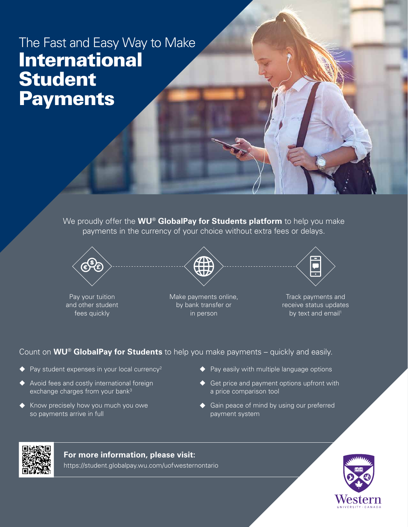# The Fast and Easy Way to Make International Student **Payments**

We proudly offer the **WU® GlobalPay for Students platform** to help you make payments in the currency of your choice without extra fees or delays.



Pay your tuition and other student fees quickly



Make payments online, by bank transfer or in person



Track payments and receive status updates by text and email<sup>1</sup>

## Count on **WU® GlobalPay for Students** to help you make payments – quickly and easily.

- $\blacklozenge$  Pay student expenses in your local currency<sup>2</sup>
- ◆ Avoid fees and costly international foreign exchange charges from your bank<sup>3</sup>
- ◆ Know precisely how you much you owe so payments arrive in full
- $\blacklozenge$  Pay easily with multiple language options
- ♦ Get price and payment options upfront with a price comparison tool
- ◆ Gain peace of mind by using our preferred payment system



#### **For more information, please visit:**

https://student.globalpay.wu.com/uofwesternontario